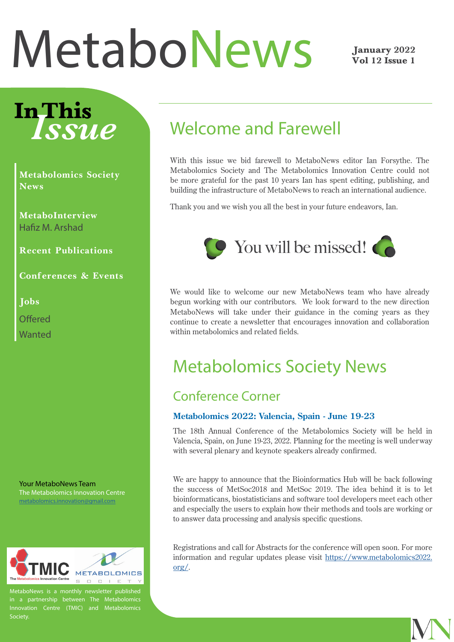# <span id="page-0-0"></span>[MetaboNews](http://www.metabonews.ca)

#### January 2022 Vol 12 Issue 1

# In This *Issue*

**Metabolomics Society News**

**[MetaboInterview](#page-2-0)** Hafiz M. Arshad

**[Recent Publications](#page-5-0)**

**[Conferences & Events](#page-6-0)**

**[Jobs](#page-11-0)**

**[Offered](#page-11-0)** 

[Wanted](#page-12-0)

Your MetaboNews Team The Metabolomics Innovation Centre [metabolomics.innovation@gmail.com](mailto:metabolomics.innovation%40gmail.com?subject=)



MetaboNews is a monthly newsletter published Innovation Centre (TMIC) and Metabolomics Society.

## Welcome and Farewell

With this issue we bid farewell to MetaboNews editor Ian Forsythe. The Metabolomics Society and The Metabolomics Innovation Centre could not be more grateful for the past 10 years Ian has spent editing, publishing, and building the infrastructure of MetaboNews to reach an international audience.

Thank you and we wish you all the best in your future endeavors, Ian.



We would like to welcome our new MetaboNews team who have already begun working with our contributors. We look forward to the new direction MetaboNews will take under their guidance in the coming years as they continue to create a newsletter that encourages innovation and collaboration within metabolomics and related fields.

### Metabolomics Society News

#### Conference Corner

#### **Metabolomics 2022: Valencia, Spain - June 19-23**

The 18th Annual Conference of the Metabolomics Society will be held in Valencia, Spain, on June 19-23, 2022. Planning for the meeting is well underway with several plenary and keynote speakers already confirmed.

We are happy to announce that the Bioinformatics Hub will be back following the success of MetSoc2018 and MetSoc 2019. The idea behind it is to let bioinformaticans, biostatisticians and software tool developers meet each other and especially the users to explain how their methods and tools are working or to answer data processing and analysis specific questions.

Registrations and call for Abstracts for the conference will open soon. For more information and regular updates please visit [https://www.metabolomics2022.](https://www.metabolomics2022.org/) [org/](https://www.metabolomics2022.org/).

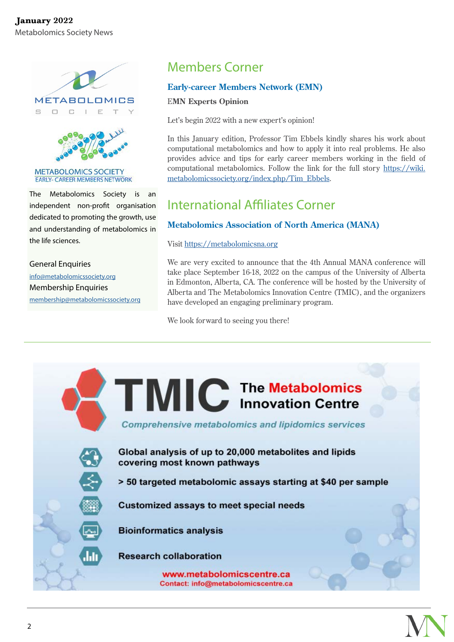



**METABOLOMICS SOCIETY EARLY- CAREER MEMBERS NETWORK** 

The Metabolomics Society is an independent non-profit organisation dedicated to promoting the growth, use and understanding of metabolomics in the life sciences.

General Enquiries info[@metabolomicssociety.org](mailto:info%40metabolomicssociety.org?subject=) Membership Enquiries [membership@metabolomicssociety.org](mailto:membership%40metabolomicssociety.org?subject=)

### Members Corner

#### **Early-career Members Network (EMN)**

#### E**MN Experts Opinion**

Let's begin 2022 with a new expert's opinion!

In this January edition, Professor Tim Ebbels kindly shares his work about computational metabolomics and how to apply it into real problems. He also provides advice and tips for early career members working in the field of computational metabolomics. Follow the link for the full story [https://wiki.](https://wiki.metabolomicssociety.org/index.php/Tim_Ebbels) [metabolomicssociety.org/index.php/Tim\\_Ebbels](https://wiki.metabolomicssociety.org/index.php/Tim_Ebbels).

#### International Affiliates Corner

#### **Metabolomics Association of North America (MANA)**

Visit <https://metabolomicsna.org>

We are very excited to announce that the 4th Annual MANA conference will take place September 16-18, 2022 on the campus of the University of Alberta in Edmonton, Alberta, CA. The conference will be hosted by the University of Alberta and The Metabolomics Innovation Centre (TMIC), and the organizers have developed an engaging preliminary program.

We look forward to seeing you there!

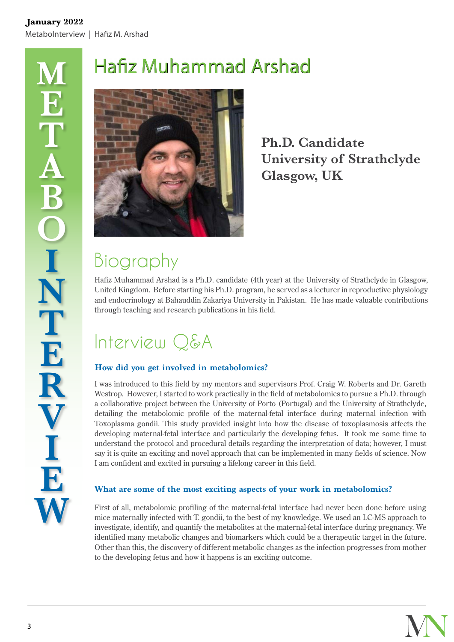# <span id="page-2-0"></span>Hafiz Muhammad Arshad



**Ph.D. Candidate University of Strathclyde Glasgow, UK**

# Biography

Hafiz Muhammad Arshad is a Ph.D. candidate (4th year) at the University of Strathclyde in Glasgow, United Kingdom. Before starting his Ph.D. program, he served as a lecturer in reproductive physiology and endocrinology at Bahauddin Zakariya University in Pakistan. He has made valuable contributions through teaching and research publications in his field.

# Interview Q&A

#### **How did you get involved in metabolomics?**

I was introduced to this field by my mentors and supervisors Prof. Craig W. Roberts and Dr. Gareth Westrop. However, I started to work practically in the field of metabolomics to pursue a Ph.D. through a collaborative project between the University of Porto (Portugal) and the University of Strathclyde, detailing the metabolomic profile of the maternal-fetal interface during maternal infection with Toxoplasma gondii. This study provided insight into how the disease of toxoplasmosis affects the developing maternal-fetal interface and particularly the developing fetus. It took me some time to understand the protocol and procedural details regarding the interpretation of data; however, I must say it is quite an exciting and novel approach that can be implemented in many fields of science. Now I am confident and excited in pursuing a lifelong career in this field.

#### **What are some of the most exciting aspects of your work in metabolomics?**

First of all, metabolomic profiling of the maternal-fetal interface had never been done before using mice maternally infected with T. gondii, to the best of my knowledge. We used an LC-MS approach to investigate, identify, and quantify the metabolites at the maternal-fetal interface during pregnancy. We identified many metabolic changes and biomarkers which could be a therapeutic target in the future. Other than this, the discovery of different metabolic changes as the infection progresses from mother to the developing fetus and how it happens is an exciting outcome.

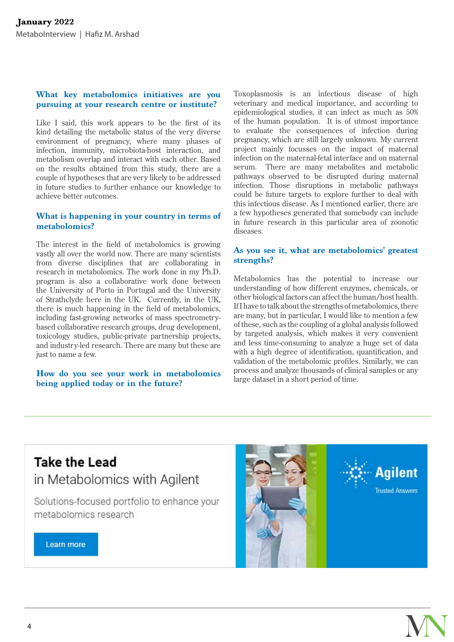#### **What key metabolomics initiatives are you pursuing at your research centre or institute?**

Like I said, this work appears to be the first of its kind detailing the metabolic status of the very diverse environment of pregnancy, where many phases of infection, immunity, microbiota-host interaction, and metabolism overlap and interact with each other. Based on the results obtained from this study, there are a couple of hypotheses that are very likely to be addressed in future studies to further enhance our knowledge to achieve better outcomes.

#### **What is happening in your country in terms of metabolomics?**

The interest in the field of metabolomics is growing vastly all over the world now. There are many scientists from diverse disciplines that are collaborating in research in metabolomics. The work done in my Ph.D. program is also a collaborative work done between the University of Porto in Portugal and the University of Strathclyde here in the UK. Currently, in the UK, there is much happening in the field of metabolomics, including fast-growing networks of mass spectrometrybased collaborative research groups, drug development, toxicology studies, public-private partnership projects, and industry-led research. There are many but these are just to name a few.

#### **How do you see your work in metabolomics being applied today or in the future?**

Toxoplasmosis is an infectious disease of high veterinary and medical importance, and according to epidemiological studies, it can infect as much as 50% of the human population. It is of utmost importance to evaluate the consequences of infection during pregnancy, which are still largely unknown. My current project mainly focusses on the impact of maternal infection on the maternal-fetal interface and on maternal serum. There are many metabolites and metabolic pathways observed to be disrupted during maternal infection. Those disruptions in metabolic pathways could be future targets to explore further to deal with this infectious disease. As I mentioned earlier, there are a few hypotheses generated that somebody can include in future research in this particular area of zoonotic diseases.

#### **As you see it, what are metabolomics' greatest strengths?**

Metabolomics has the potential to increase our understanding of how different enzymes, chemicals, or other biological factors can affect the human/host health. If I have to talk about the strengths of metabolomics, there are many, but in particular, I would like to mention a few of these, such as the coupling of a global analysis followed by targeted analysis, which makes it very convenient and less time-consuming to analyze a huge set of data with a high degree of identification, quantification, and validation of the metabolomic profiles. Similarly, we can process and analyze thousands of clinical samples or any large dataset in a short period of time.

### **Take the Lead** in Metabolomics with Agilent

Solutions-focused portfolio to enhance your metabolomics research

Learn more





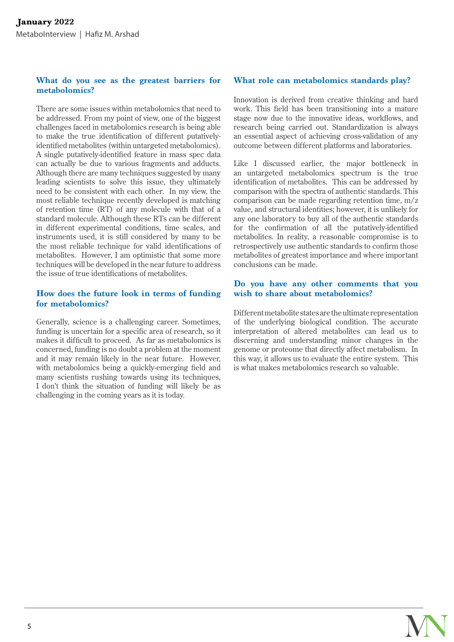#### **What do you see as the greatest barriers for metabolomics?**

There are some issues within metabolomics that need to be addressed. From my point of view, one of the biggest challenges faced in metabolomics research is being able to make the true identification of different putativelyidentified metabolites (within untargeted metabolomics). A single putatively-identified feature in mass spec data can actually be due to various fragments and adducts. Although there are many techniques suggested by many leading scientists to solve this issue, they ultimately need to be consistent with each other. In my view, the most reliable technique recently developed is matching of retention time (RT) of any molecule with that of a standard molecule. Although these RTs can be different in different experimental conditions, time scales, and instruments used, it is still considered by many to be the most reliable technique for valid identifications of metabolites. However, I am optimistic that some more techniques will be developed in the near future to address the issue of true identifications of metabolites.

#### **How does the future look in terms of funding for metabolomics?**

Generally, science is a challenging career. Sometimes, funding is uncertain for a specific area of research, so it makes it difficult to proceed. As far as metabolomics is concerned, funding is no doubt a problem at the moment and it may remain likely in the near future. However, with metabolomics being a quickly-emerging field and many scientists rushing towards using its techniques, I don't think the situation of funding will likely be as challenging in the coming years as it is today.

#### **What role can metabolomics standards play?**

Innovation is derived from creative thinking and hard work. This field has been transitioning into a mature stage now due to the innovative ideas, workflows, and research being carried out. Standardization is always an essential aspect of achieving cross-validation of any outcome between different platforms and laboratories.

Like I discussed earlier, the major bottleneck in an untargeted metabolomics spectrum is the true identification of metabolites. This can be addressed by comparison with the spectra of authentic standards. This comparison can be made regarding retention time, m/z value, and structural identities; however, it is unlikely for any one laboratory to buy all of the authentic standards for the confirmation of all the putatively-identified metabolites. In reality, a reasonable compromise is to retrospectively use authentic standards to confirm those metabolites of greatest importance and where important conclusions can be made.

#### **Do you have any other comments that you wish to share about metabolomics?**

Different metabolite states are the ultimate representation of the underlying biological condition. The accurate interpretation of altered metabolites can lead us to discerning and understanding minor changes in the genome or proteome that directly affect metabolism. In this way, it allows us to evaluate the entire system. This is what makes metabolomics research so valuable.

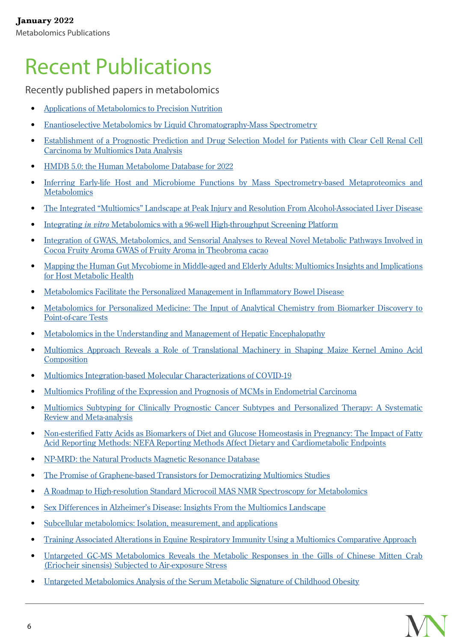# <span id="page-5-0"></span>[Recent Publications](#page-0-0)

Recently published papers in metabolomics

- [Applications of Metabolomics to Precision Nutrition](https://pubmed.ncbi.nlm.nih.gov/34518463/)
- [Enantioselective Metabolomics by Liquid Chromatography-Mass Spectrometry](https://pubmed.ncbi.nlm.nih.gov/34757254/)
- [Establishment of a Prognostic Prediction and Drug Selection Model for Patients with Clear Cell Renal Cell](https://pubmed.ncbi.nlm.nih.gov/35028006/) [Carcinoma by Multiomics Data Analysis](https://pubmed.ncbi.nlm.nih.gov/35028006/)
- [HMDB 5.0: the Human Metabolome Database for 2022](https://pubmed.ncbi.nlm.nih.gov/34986597/)
- [Inferring Early-life Host and Microbiome Functions by Mass Spectrometry-based Metaproteomics and](https://pubmed.ncbi.nlm.nih.gov/35024099/) **[Metabolomics](https://pubmed.ncbi.nlm.nih.gov/35024099/)**
- [The Integrated "Multiomics" Landscape at Peak Injury and Resolution From Alcohol-Associated Liver Disease](https://pubmed.ncbi.nlm.nih.gov/34558855/)
- Integrating *in vitro* [Metabolomics with a 96-well High-throughput Screening Platform](https://pubmed.ncbi.nlm.nih.gov/35000038/)
- [Integration of GWAS, Metabolomics, and Sensorial Analyses to Reveal Novel Metabolic Pathways Involved in](https://pubmed.ncbi.nlm.nih.gov/34863583/) [Cocoa Fruity Aroma GWAS of Fruity Aroma in Theobroma cacao](https://pubmed.ncbi.nlm.nih.gov/34863583/)
- [Mapping the Human Gut Mycobiome in Middle-aged and Elderly Adults: Multiomics Insights and Implications](https://pubmed.ncbi.nlm.nih.gov/35017200/) [for Host Metabolic Health](https://pubmed.ncbi.nlm.nih.gov/35017200/)
- [Metabolomics Facilitate the Personalized Management in Inflammatory Bowel Disease](https://pubmed.ncbi.nlm.nih.gov/34987610/)
- [Metabolomics for Personalized Medicine: The Input of Analytical Chemistry from Biomarker Discovery to](https://pubmed.ncbi.nlm.nih.gov/34432105/) [Point-of-care Tests](https://pubmed.ncbi.nlm.nih.gov/34432105/)
- [Metabolomics in the Understanding and Management of Hepatic Encephalopathy](https://pubmed.ncbi.nlm.nih.gov/34808106/)
- [Multiomics Approach Reveals a Role of Translational Machinery in Shaping Maize Kernel Amino Acid](https://pubmed.ncbi.nlm.nih.gov/34618082/) **[Composition](https://pubmed.ncbi.nlm.nih.gov/34618082/)**
- [Multiomics Integration-based Molecular Characterizations of COVID-19](https://pubmed.ncbi.nlm.nih.gov/34864875/)
- [Multiomics Profiling of the Expression and Prognosis of MCMs in Endometrial Carcinoma](https://pubmed.ncbi.nlm.nih.gov/34859821/)
- [Multiomics Subtyping for Clinically Prognostic Cancer Subtypes and Personalized Therapy: A Systematic](https://pubmed.ncbi.nlm.nih.gov/34906494/) [Review and Meta-analysis](https://pubmed.ncbi.nlm.nih.gov/34906494/)
- [Non-esterified Fatty Acids as Biomarkers of Diet and Glucose Homeostasis in Pregnancy: The Impact of Fatty](https://pubmed.ncbi.nlm.nih.gov/34871861/) [Acid Reporting Methods: NEFA Reporting Methods Affect Dietary and Cardiometabolic Endpoints](https://pubmed.ncbi.nlm.nih.gov/34871861/)
- [NP-MRD: the Natural Products Magnetic Resonance Database](https://pubmed.ncbi.nlm.nih.gov/34791429/)
- [The Promise of Graphene-based Transistors for Democratizing Multiomics Studies](https://pubmed.ncbi.nlm.nih.gov/34537553/)
- [A Roadmap to High-resolution Standard Microcoil MAS NMR Spectroscopy for Metabolomics](https://pubmed.ncbi.nlm.nih.gov/34970795/)
- [Sex Differences in Alzheimer's Disease: Insights From the Multiomics Landscape](https://pubmed.ncbi.nlm.nih.gov/33896621/)
- [Subcellular metabolomics: Isolation, measurement, and applications](https://pubmed.ncbi.nlm.nih.gov/34979492/)
- [Training Associated Alterations in Equine Respiratory Immunity Using a Multiomics Comparative Approach](https://pubmed.ncbi.nlm.nih.gov/35013475/)
- [Untargeted GC-MS Metabolomics Reveals the Metabolic Responses in the Gills of Chinese Mitten Crab](https://pubmed.ncbi.nlm.nih.gov/35032728/) [\(Eriocheir sinensis\) Subjected to Air-exposure Stress](https://pubmed.ncbi.nlm.nih.gov/35032728/)
- [Untargeted Metabolomics Analysis of the Serum Metabolic Signature of Childhood Obesity](https://pubmed.ncbi.nlm.nih.gov/35011090/)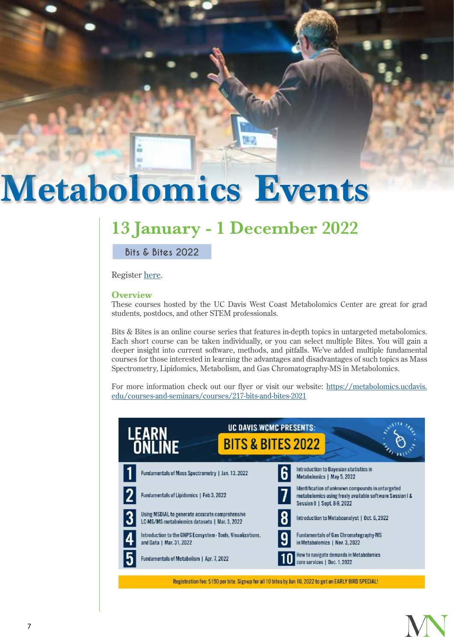# <span id="page-6-0"></span>**[Metabolomics Events](#page-0-0)**

## **13 January - 1 December 2022**

**[Bits & Bites 2022](https://registration.genomecenter.ucdavis.edu/events/copy_of_WCMC_BitsBites_2022/)**

Register [here.](https://registration.genomecenter.ucdavis.edu/events/copy_of_WCMC_BitsBites_2022/)

#### **Overview**

These courses hosted by the UC Davis West Coast Metabolomics Center are great for grad students, postdocs, and other STEM professionals.

Bits & Bites is an online course series that features in-depth topics in untargeted metabolomics. Each short course can be taken individually, or you can select multiple Bites. You will gain a deeper insight into current software, methods, and pitfalls. We've added multiple fundamental courses for those interested in learning the advantages and disadvantages of such topics as Mass Spectrometry, Lipidomics, Metabolism, and Gas Chromatography-MS in Metabolomics.

For more information check out our flyer or visit our website: [https://metabolomics.ucdavis.](https://metabolomics.ucdavis.edu/courses-and-seminars/courses/217-bits-and-bites-2021) [edu/courses-and-seminars/courses/217-bits-and-bites-2021](https://metabolomics.ucdavis.edu/courses-and-seminars/courses/217-bits-and-bites-2021)



Registration fee: \$150 per bite. Sign-up for all 10 bites by Jan 10, 2022 to get an EARLY BIRD SPECIAL!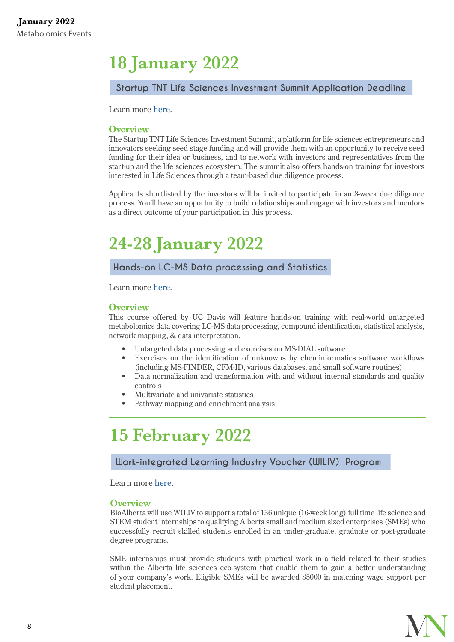# **18 January 2022**

#### **[Startup TNT Life Sciences Investment Summit Application Deadline](http://www.startuptnt.com/apply)**

Learn more [here](http://www.startuptnt.com/apply).

#### **Overview**

The Startup TNT Life Sciences Investment Summit, a platform for life sciences entrepreneurs and innovators seeking seed stage funding and will provide them with an opportunity to receive seed funding for their idea or business, and to network with investors and representatives from the start-up and the life sciences ecosystem. The summit also offers hands-on training for investors interested in Life Sciences through a team-based due diligence process.

Applicants shortlisted by the investors will be invited to participate in an 8-week due diligence process. You'll have an opportunity to build relationships and engage with investors and mentors as a direct outcome of your participation in this process.

# **24-28 January 2022**

#### **[Hands-on LC-MS Data processing and Statistics](https://metabolomics.ucdavis.edu/courses-and-seminars/courses/218-hands-on-lc-ms-data-processing-and-statistics-2020)**

Learn more [here](https://metabolomics.ucdavis.edu/courses-and-seminars/courses/218-hands-on-lc-ms-data-processing-and-statistics-2020).

#### **Overview**

This course offered by UC Davis will feature hands-on training with real-world untargeted metabolomics data covering LC-MS data processing, compound identification, statistical analysis, network mapping, & data interpretation.

- Untargeted data processing and exercises on MS-DIAL software.
- Exercises on the identification of unknowns by cheminformatics software workflows (including MS-FINDER, CFM-ID, various databases, and small software routines)
- Data normalization and transformation with and without internal standards and quality controls
- Multivariate and univariate statistics
- Pathway mapping and enrichment analysis

### **15 February 2022**

#### **[Work-integrated Learning Industry Voucher \(WILIV\) Program](https://www.bioalberta.com/wil)**

Learn more [here.](https://www.bioalberta.com/wil)

#### **Overview**

BioAlberta will use WILIV to support a total of 136 unique (16-week long) full time life science and STEM student internships to qualifying Alberta small and medium sized enterprises (SMEs) who successfully recruit skilled students enrolled in an under-graduate, graduate or post-graduate degree programs.

SME internships must provide students with practical work in a field related to their studies within the Alberta life sciences eco-system that enable them to gain a better understanding of your company's work. Eligible SMEs will be awarded \$5000 in matching wage support per student placement.

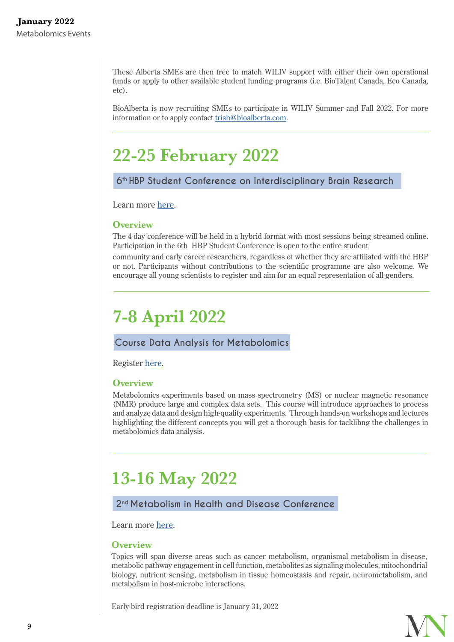These Alberta SMEs are then free to match WILIV support with either their own operational funds or apply to other available student funding programs (i.e. BioTalent Canada, Eco Canada, etc).

BioAlberta is now recruiting SMEs to participate in WILIV Summer and Fall 2022. For more information or to apply contact [trish@bioalberta.com](mailto:trish%40bioalberta.com?subject=WILIV%20Program%20Inquiry).

### **22-25 February 2022**

#### **[6th HBP Student Conference on Interdisciplinary Brain Research](https://documentcloud.adobe.com/link/track?uri=urn:aaid:scds:US:42cc644c-055b-4d78-af92-e86bdb9cdde6)**

Learn more [here](https://www.humanbrainproject.eu/en/education/HBPSC2022/).

#### **Overview**

The 4-day conference will be held in a hybrid format with most sessions being streamed online. Participation in the 6th HBP Student Conference is open to the entire student

community and early career researchers, regardless of whether they are affiliated with the HBP or not. Participants without contributions to the scientific programme are also welcome. We encourage all young scientists to register and aim for an equal representation of all genders.

# **7-8 April 2022**

#### **[Course Data Analysis for Metabolomics](https://www.wur.nl/en/Education-Programmes/Wageningen-Academy/What-we-offer-you/Courses/Plant/Course-Data-Analysis-for-Metabolomics.htm)**

Register [here](https://www.wur.nl/en/Education-Programmes/Wageningen-Academy/Webforms/Registration-form-Wageningen-Academy.htm?frmprm1=8782).

#### **Overview**

Metabolomics experiments based on mass spectrometry (MS) or nuclear magnetic resonance (NMR) produce large and complex data sets. This course will introduce approaches to process and analyze data and design high-quality experiments. Through hands-on workshops and lectures highlighting the different concepts you will get a thorough basis for tacklibng the challenges in metabolomics data analysis.

# **13-16 May 2022**

#### **[2nd Metabolism in Health and Disease Conference](https://www.fusion-conferences.com/conference/122.)**

Learn more [here.](https://www.fusion-conferences.com/conference/122.)

#### **Overview**

Topics will span diverse areas such as cancer metabolism, organismal metabolism in disease, metabolic pathway engagement in cell function, metabolites as signaling molecules, mitochondrial biology, nutrient sensing, metabolism in tissue homeostasis and repair, neurometabolism, and metabolism in host-microbe interactions.

Early-bird registration deadline is January 31, 2022

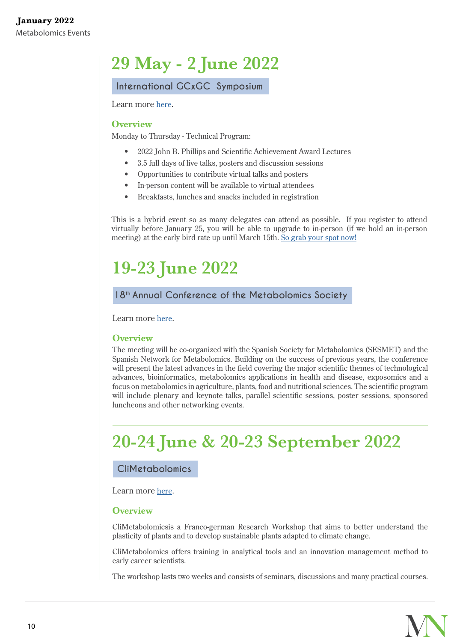# **29 May - 2 June 2022**

**[International GCxGC Symposium](https://www.gcxgc-symposium.com/)**

Learn more [here.](https://www.gcxgc-symposium.com/)

#### **Overview**

Monday to Thursday - Technical Program:

- 2022 John B. Phillips and Scientific Achievement Award Lectures
- 3.5 full days of live talks, posters and discussion sessions
- Opportunities to contribute virtual talks and posters
- In-person content will be available to virtual attendees
- Breakfasts, lunches and snacks included in registration

This is a hybrid event so as many delegates can attend as possible. If you register to attend virtually before January 25, you will be able to upgrade to in-person (if we hold an in-person meeting) at the early bird rate up until March 15th. [So grab your spot now!](https://www.gcxgc-symposium.com/registration)

# **19-23 June 2022**

#### **[18th Annual Conference of the Metabolomics Society](https://www.metabolomics2022.org/)**

Learn more [here.](https://www.metabolomics2022.org/)

#### **Overview**

The meeting will be co-organized with the Spanish Society for Metabolomics (SESMET) and the Spanish Network for Metabolomics. Building on the success of previous years, the conference will present the latest advances in the field covering the major scientific themes of technological advances, bioinformatics, metabolomics applications in health and disease, exposomics and a focus on metabolomics in agriculture, plants, food and nutritional sciences. The scientific program will include plenary and keynote talks, parallel scientific sessions, poster sessions, sponsored luncheons and other networking events.

# **20-24 June & 20-23 September 2022**

#### **[CliMetabolomics](https://www2.sciencecampus-halle.de/further-education.html)**

Learn more [here.](https://www2.sciencecampus-halle.de/further-education.html)

#### **Overview**

CliMetabolomicsis a Franco-german Research Workshop that aims to better understand the plasticity of plants and to develop sustainable plants adapted to climate change.

CliMetabolomics offers training in analytical tools and an innovation management method to early career scientists.

The workshop lasts two weeks and consists of seminars, discussions and many practical courses.

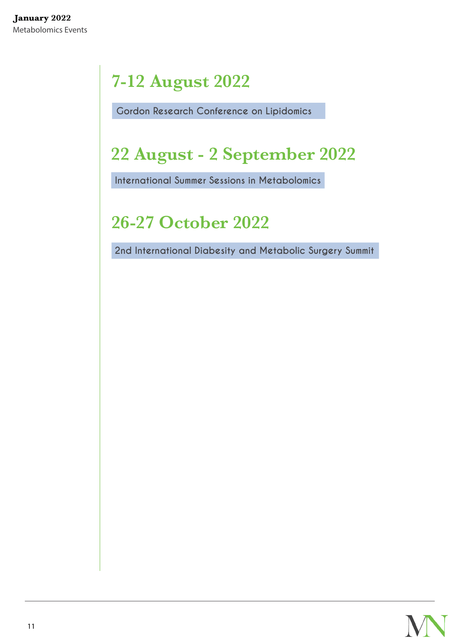# **7-12 August 2022**

**[Gordon Research Conference on Lipidomics](https://www.grc.org/lipidomics-conference/2022/)**

# **22 August - 2 September 2022**

**[International Summer Sessions in Metabolomics](https://metabolomics.ucdavis.edu/courses-and-seminars/courses/208-course1)**

# **26-27 October 2022**

 **[2nd International Diabesity and Metabolic Surgery Summit](https://www.idmss.org/)**

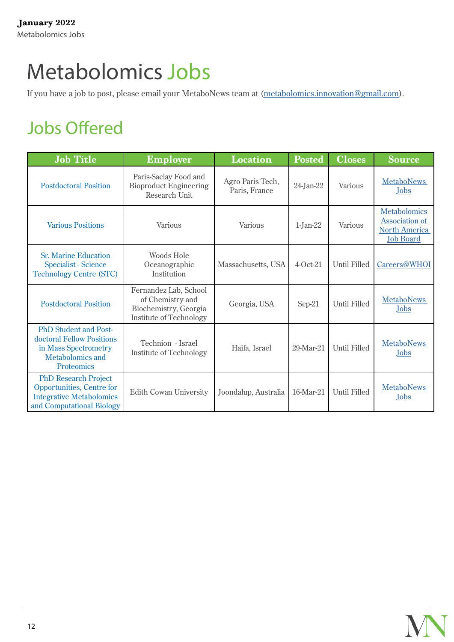# <span id="page-11-0"></span>[Metabolomics Jobs](#page-0-0)

If you have a job to post, please email your MetaboNews team at (metabolomics.innovation@gmail.com).

# Jobs Offered

| <b>Job Title</b>                                                                                                                  | <b>Employer</b>                                                                                      | <b>Location</b>                   | <b>Posted</b> | <b>Closes</b>       | <b>Source</b>                                                                     |
|-----------------------------------------------------------------------------------------------------------------------------------|------------------------------------------------------------------------------------------------------|-----------------------------------|---------------|---------------------|-----------------------------------------------------------------------------------|
| <b>Postdoctoral Position</b>                                                                                                      | Paris-Saclay Food and<br><b>Bioproduct Engineering</b><br>Research Unit                              | Agro Paris Tech,<br>Paris, France | 24-Jan-22     | Various             | <b>MetaboNews</b><br>Jobs                                                         |
| <b>Various Positions</b>                                                                                                          | Various                                                                                              | Various                           | $1$ -Jan-22   | Various             | <b>Metabolomics</b><br>Association of<br><b>North America</b><br><b>Job Board</b> |
| <b>Sr. Marine Education</b><br><b>Specialist - Science</b><br><b>Technology Centre (STC)</b>                                      | <b>Woods Hole</b><br>Oceanographic<br>Institution                                                    | Massachusetts, USA                | $4-Oct-21$    | <b>Until Filled</b> | Careers@WHOI                                                                      |
| <b>Postdoctoral Position</b>                                                                                                      | Fernandez Lab, School<br>of Chemistry and<br>Biochemistry, Georgia<br><b>Institute of Technology</b> | Georgia, USA                      | Sep-21        | <b>Until Filled</b> | <b>MetaboNews</b><br>Jobs                                                         |
| <b>PhD Student and Post-</b><br>doctoral Fellow Positions<br>in Mass Spectrometry<br><b>Metabolomics and</b><br><b>Proteomics</b> | Technion - Israel<br><b>Institute of Technology</b>                                                  | Haifa, Israel                     | 29-Mar-21     | <b>Until Filled</b> | <b>MetaboNews</b><br>Jobs                                                         |
| <b>PhD Research Project</b><br>Opportunities, Centre for<br><b>Integrative Metabolomics</b><br>and Computational Biology          | <b>Edith Cowan University</b>                                                                        | Joondalup, Australia              | 16-Mar-21     | <b>Until Filled</b> | <b>MetaboNews</b><br>Jobs                                                         |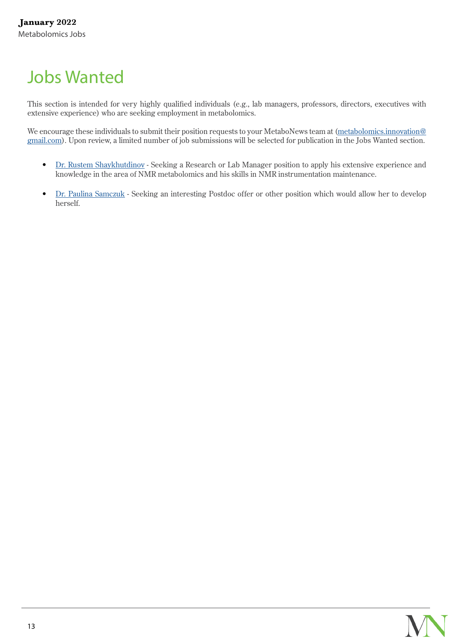# <span id="page-12-0"></span>[Jobs Wanted](#page-0-0)

This section is intended for very highly qualified individuals (e.g., lab managers, professors, directors, executives with extensive experience) who are seeking employment in metabolomics.

We encourage these individuals to submit their position requests to your MetaboNews team at [\(metabolomics.innovation@](mailto:metabolomics.innovation%40gmail.com?subject=) [gmail.com\)](mailto:metabolomics.innovation%40gmail.com?subject=). Upon review, a limited number of job submissions will be selected for publication in the Jobs Wanted section.

- [Dr. Rustem Shaykhutdinov](http://www.metabonews.ca/Jan2022/Jobs/Rustem-Shaykhutdinov-CV.pdf)  Seeking a Research or Lab Manager position to apply his extensive experience and knowledge in the area of NMR metabolomics and his skills in NMR instrumentation maintenance.
- [Dr. Paulina Samczuk](http://www.metabonews.ca/Jul2021/Jobs/CV_P_Samczuk_07072021.pdf)  Seeking an interesting Postdoc offer or other position which would allow her to develop herself.